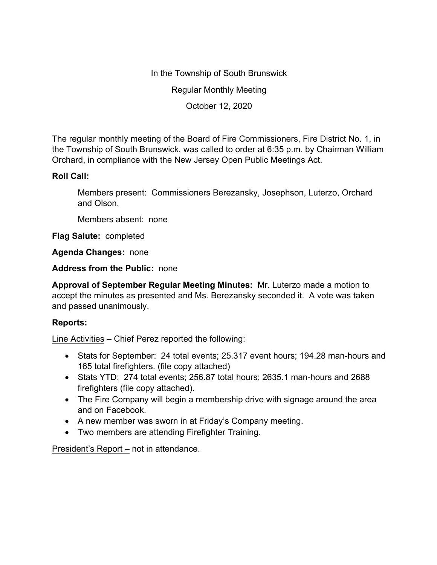In the Township of South Brunswick

Regular Monthly Meeting

October 12, 2020

The regular monthly meeting of the Board of Fire Commissioners, Fire District No. 1, in the Township of South Brunswick, was called to order at 6:35 p.m. by Chairman William Orchard, in compliance with the New Jersey Open Public Meetings Act.

## **Roll Call:**

Members present: Commissioners Berezansky, Josephson, Luterzo, Orchard and Olson.

Members absent: none

**Flag Salute:** completed

**Agenda Changes:** none

**Address from the Public:** none

**Approval of September Regular Meeting Minutes:** Mr. Luterzo made a motion to accept the minutes as presented and Ms. Berezansky seconded it. A vote was taken and passed unanimously.

## **Reports:**

Line Activities – Chief Perez reported the following:

- Stats for September: 24 total events; 25.317 event hours; 194.28 man-hours and 165 total firefighters. (file copy attached)
- Stats YTD: 274 total events; 256.87 total hours; 2635.1 man-hours and 2688 firefighters (file copy attached).
- The Fire Company will begin a membership drive with signage around the area and on Facebook.
- A new member was sworn in at Friday's Company meeting.
- Two members are attending Firefighter Training.

President's Report – not in attendance.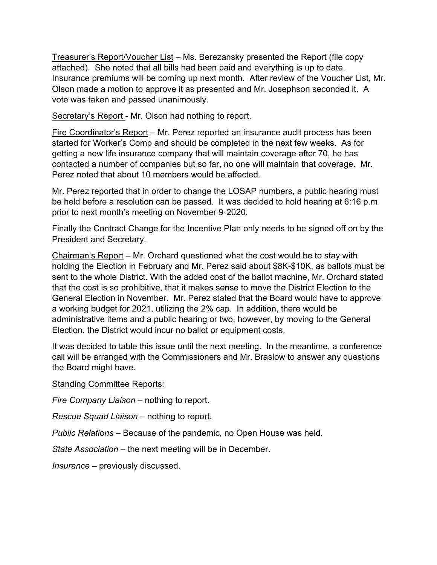Treasurer's Report/Voucher List – Ms. Berezansky presented the Report (file copy attached). She noted that all bills had been paid and everything is up to date. Insurance premiums will be coming up next month. After review of the Voucher List, Mr. Olson made a motion to approve it as presented and Mr. Josephson seconded it. A vote was taken and passed unanimously.

Secretary's Report - Mr. Olson had nothing to report.

Fire Coordinator's Report – Mr. Perez reported an insurance audit process has been started for Worker's Comp and should be completed in the next few weeks. As for getting a new life insurance company that will maintain coverage after 70, he has contacted a number of companies but so far, no one will maintain that coverage. Mr. Perez noted that about 10 members would be affected.

Mr. Perez reported that in order to change the LOSAP numbers, a public hearing must be held before a resolution can be passed. It was decided to hold hearing at 6:16 p.m prior to next month's meeting on November 9, 2020.

Finally the Contract Change for the Incentive Plan only needs to be signed off on by the President and Secretary.

Chairman's Report – Mr. Orchard questioned what the cost would be to stay with holding the Election in February and Mr. Perez said about \$8K-\$10K, as ballots must be sent to the whole District. With the added cost of the ballot machine, Mr. Orchard stated that the cost is so prohibitive, that it makes sense to move the District Election to the General Election in November. Mr. Perez stated that the Board would have to approve a working budget for 2021, utilizing the 2% cap. In addition, there would be administrative items and a public hearing or two, however, by moving to the General Election, the District would incur no ballot or equipment costs.

It was decided to table this issue until the next meeting. In the meantime, a conference call will be arranged with the Commissioners and Mr. Braslow to answer any questions the Board might have.

Standing Committee Reports:

*Fire Company Liaison –* nothing to report.

*Rescue Squad Liaison –* nothing to report.

*Public Relations –* Because of the pandemic, no Open House was held.

*State Association –* the next meeting will be in December.

*Insurance –* previously discussed.